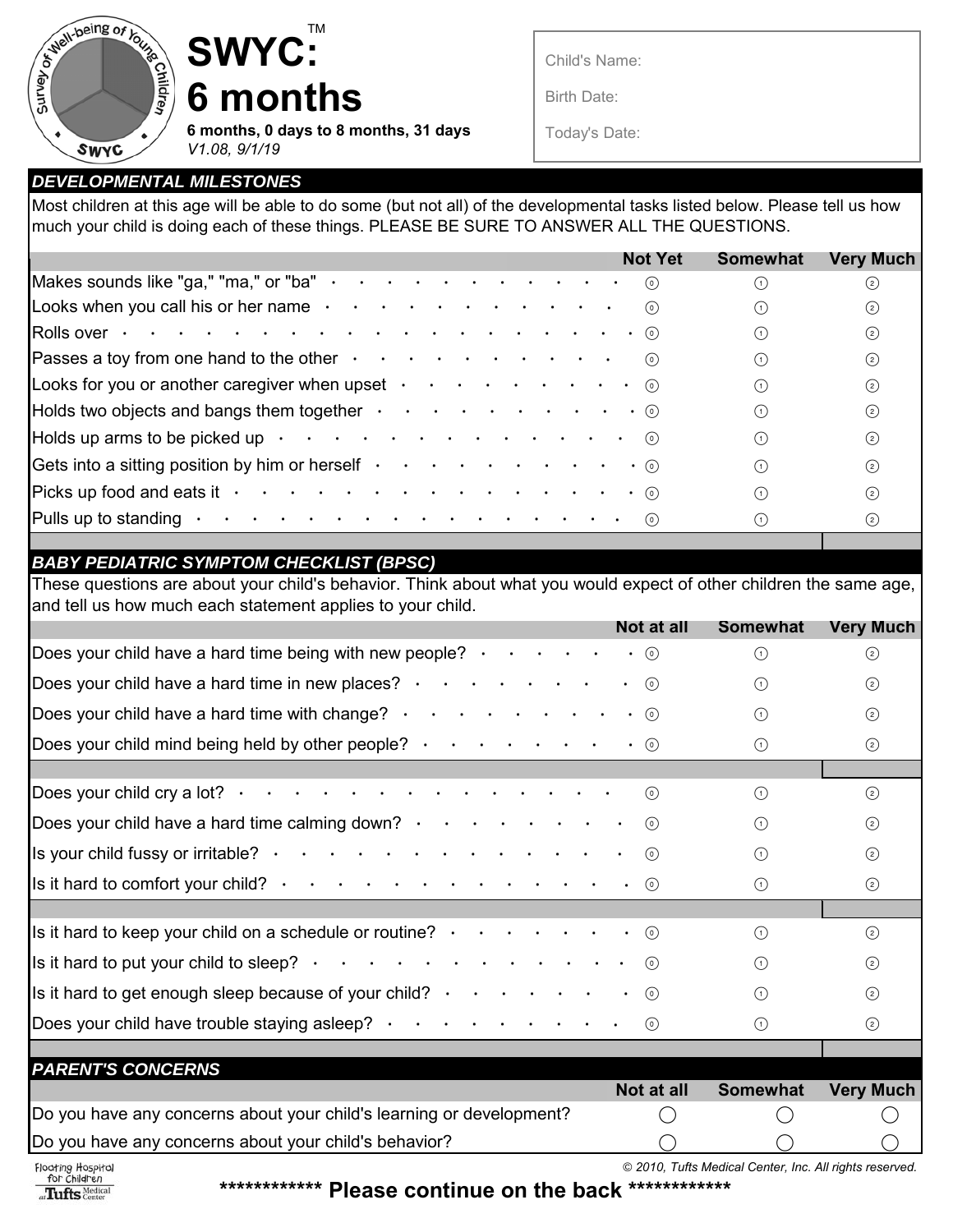

**SWYC: 6 months**

**6 months, 0 days to 8 months, 31 days** *V1.08, 9/1/19*

TM

Child's Name:

Birth Date:

Today's Date:

## *DEVELOPMENTAL MILESTONES*

Most children at this age will be able to do some (but not all) of the developmental tasks listed below. Please tell us how much your child is doing each of these things. PLEASE BE SURE TO ANSWER ALL THE QUESTIONS.

|                                                                                                                                                                    | <b>Not Yet</b> | <b>Somewhat</b> | <b>Very Much</b> |
|--------------------------------------------------------------------------------------------------------------------------------------------------------------------|----------------|-----------------|------------------|
|                                                                                                                                                                    |                |                 |                  |
| Makes sounds like "ga," "ma," or "ba" $\cdot \cdot \cdot \cdot \cdot \cdot \cdot \cdot \cdot \cdot \cdot \cdot \cdot \cdot \cdot \cdot$                            |                |                 | ☺                |
| Looks when you call his or her name $\cdot \cdot \cdot \cdot \cdot \cdot \cdot \cdot \cdot \cdot \cdot \cdot \cdot \cdot$                                          |                |                 | $\circled{2}$    |
|                                                                                                                                                                    |                | ⋒               | $\circled{2}$    |
| Passes a toy from one hand to the other $\cdot \cdot \cdot \cdot \cdot \cdot \cdot \cdot \cdot \cdot \cdot \cdot \cdot$                                            |                | (1)             | $\circ$          |
| Looks for you or another caregiver when upset $\cdots$ $\cdots$ $\cdots$ $\cdots$ $\cdots$ $\cdots$                                                                |                | (1)             | $\circled{2}$    |
| Holds two objects and bangs them together $\cdot \cdot \cdot \cdot \cdot \cdot \cdot \cdot \cdot \cdot \cdot \cdot \cdot \cdot \cdot \cdot \cdot \cdot \cdot$      |                | ∩               | $\circled{2}$    |
| Holds up arms to be picked up $\cdot \cdot \cdot \cdot \cdot \cdot \cdot \cdot \cdot \cdot \cdot \cdot \cdot \cdot \cdot \cdot \cdot \cdot$                        |                | ∩               | $\circled{2}$    |
| Gets into a sitting position by him or herself $\cdot \cdot \cdot \cdot \cdot \cdot \cdot \cdot \cdot \cdot \cdot \cdot \cdot \cdot \cdot \cdot \cdot \cdot \cdot$ |                | (1)             | $\circled{2}$    |
|                                                                                                                                                                    |                | (1)             | $\circled{2}$    |
|                                                                                                                                                                    |                | (1)             | $\odot$          |

## *BABY PEDIATRIC SYMPTOM CHECKLIST (BPSC)*

These questions are about your child's behavior. Think about what you would expect of other children the same age, and tell us how much each statement applies to your child.

|                                                                                                                                                       | Not at all  | Somewhat   | <b>Very Much</b> |
|-------------------------------------------------------------------------------------------------------------------------------------------------------|-------------|------------|------------------|
| Does your child have a hard time being with new people? $\cdot \cdot \cdot \cdot$                                                                     | $\cdot$ (0) | $\bigcap$  | $\circled{2}$    |
| Does your child have a hard time in new places? $\cdot \cdot \cdot \cdot \cdot \cdot$                                                                 | $\cdot$ (0) | $\bigcap$  | $\circled{2}$    |
| Does your child have a hard time with change? $\cdot \cdot \cdot \cdot \cdot \cdot \cdot \cdot \cdot \cdot \cdot \cdot \cdot \cdot \cdot \cdot \cdot$ |             | $\bigcirc$ | $\circled{2}$    |
| Does your child mind being held by other people? $\cdot \cdot \cdot \cdot \cdot \cdot \cdot \cdot \cdot \cdot \cdot \cdot \cdot \cdot \cdot \cdot$    |             | $\bigcap$  | ☺                |
|                                                                                                                                                       |             |            |                  |
| Does your child cry a lot? $\cdot \cdot \cdot \cdot \cdot \cdot \cdot \cdot \cdot \cdot \cdot \cdot \cdot \cdot \cdot \cdot$                          | $\odot$     | $\bigcap$  | $\circled{2}$    |
| Does your child have a hard time calming down? $\cdot \cdot \cdot \cdot \cdot \cdot \cdot \cdot \cdot \cdot \cdot \cdot \cdot \cdot \cdot$            |             | $\bigcap$  | $\circled{2}$    |
| Is your child fussy or irritable? $\cdot \cdot \cdot \cdot \cdot \cdot \cdot \cdot \cdot \cdot \cdot \cdot$                                           | $\odot$     | $\bigcap$  | $\circled{2}$    |
|                                                                                                                                                       |             | $\bigcap$  | $\odot$          |
|                                                                                                                                                       |             |            |                  |
| Is it hard to keep your child on a schedule or routine? $\cdot \cdot \cdot \cdot \cdot \cdot \cdot \cdot \cdot \cdot \cdot \cdot \cdot \cdot$         |             | $\bigcap$  | $\circled{2}$    |
|                                                                                                                                                       |             | $\bigcap$  | $\circled{2}$    |
| Is it hard to get enough sleep because of your child? $\cdot \cdot \cdot \cdot \cdot \cdot \cdot \cdot \cdot \cdot \cdot \cdot \cdot \cdot$           |             | $\bigcap$  | $\circled{2}$    |
| Does your child have trouble staying asleep? $\cdot \cdot \cdot \cdot \cdot \cdot \cdot \cdot \cdot \cdot$                                            |             | $\bigcirc$ | ☺                |
|                                                                                                                                                       |             |            |                  |
| <b>PARENT'S CONCERNS</b>                                                                                                                              |             |            |                  |
|                                                                                                                                                       | Not at all  | Somewhat   | <b>Very Much</b> |
| Do you have any concerns about your child's learning or development?                                                                                  |             |            |                  |
| Do you have any concerns about your child's behavior?                                                                                                 |             |            |                  |

Floating Hospital at Tufts Nedical

**\*\*\*\*\*\*\*\*\*\*\*\* Please continue on the back \*\*\*\*\*\*\*\*\*\*\*\***

*© 2010, Tufts Medical Center, Inc. All rights reserved.*